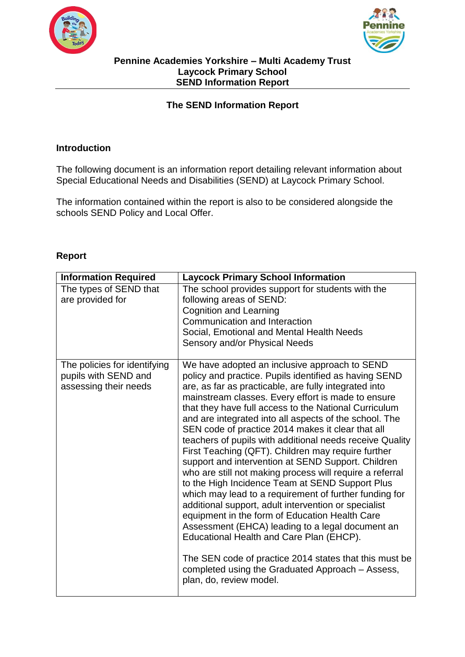



## **The SEND Information Report**

## **Introduction**

The following document is an information report detailing relevant information about Special Educational Needs and Disabilities (SEND) at Laycock Primary School.

The information contained within the report is also to be considered alongside the schools SEND Policy and Local Offer.

## **Report**

| <b>Information Required</b>                                                   | <b>Laycock Primary School Information</b>                                                                                                                                                                                                                                                                                                                                                                                                                                                                                                                                                                                                                                                                                                                                                                                                                                                                                                                                                                                                                                                         |
|-------------------------------------------------------------------------------|---------------------------------------------------------------------------------------------------------------------------------------------------------------------------------------------------------------------------------------------------------------------------------------------------------------------------------------------------------------------------------------------------------------------------------------------------------------------------------------------------------------------------------------------------------------------------------------------------------------------------------------------------------------------------------------------------------------------------------------------------------------------------------------------------------------------------------------------------------------------------------------------------------------------------------------------------------------------------------------------------------------------------------------------------------------------------------------------------|
| The types of SEND that<br>are provided for                                    | The school provides support for students with the<br>following areas of SEND:<br><b>Cognition and Learning</b><br>Communication and Interaction<br>Social, Emotional and Mental Health Needs<br>Sensory and/or Physical Needs                                                                                                                                                                                                                                                                                                                                                                                                                                                                                                                                                                                                                                                                                                                                                                                                                                                                     |
| The policies for identifying<br>pupils with SEND and<br>assessing their needs | We have adopted an inclusive approach to SEND<br>policy and practice. Pupils identified as having SEND<br>are, as far as practicable, are fully integrated into<br>mainstream classes. Every effort is made to ensure<br>that they have full access to the National Curriculum<br>and are integrated into all aspects of the school. The<br>SEN code of practice 2014 makes it clear that all<br>teachers of pupils with additional needs receive Quality<br>First Teaching (QFT). Children may require further<br>support and intervention at SEND Support. Children<br>who are still not making process will require a referral<br>to the High Incidence Team at SEND Support Plus<br>which may lead to a requirement of further funding for<br>additional support, adult intervention or specialist<br>equipment in the form of Education Health Care<br>Assessment (EHCA) leading to a legal document an<br>Educational Health and Care Plan (EHCP).<br>The SEN code of practice 2014 states that this must be<br>completed using the Graduated Approach - Assess,<br>plan, do, review model. |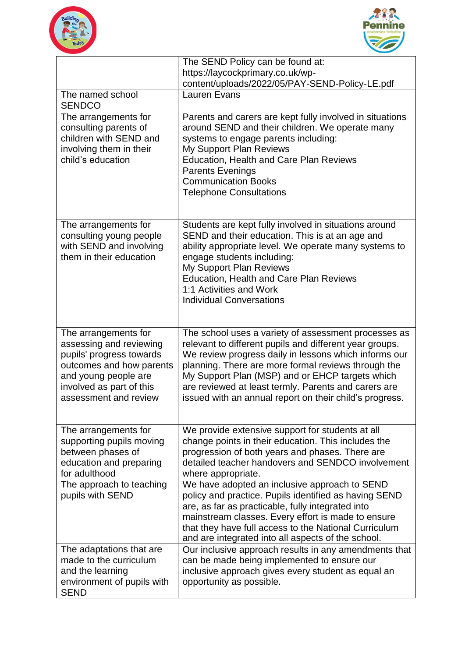



|                                                                                                                                                                                      | The SEND Policy can be found at:                                                                                                                                                                                                                                                                                                                                                                      |
|--------------------------------------------------------------------------------------------------------------------------------------------------------------------------------------|-------------------------------------------------------------------------------------------------------------------------------------------------------------------------------------------------------------------------------------------------------------------------------------------------------------------------------------------------------------------------------------------------------|
|                                                                                                                                                                                      | https://laycockprimary.co.uk/wp-                                                                                                                                                                                                                                                                                                                                                                      |
|                                                                                                                                                                                      | content/uploads/2022/05/PAY-SEND-Policy-LE.pdf                                                                                                                                                                                                                                                                                                                                                        |
| The named school<br><b>SENDCO</b>                                                                                                                                                    | <b>Lauren Evans</b>                                                                                                                                                                                                                                                                                                                                                                                   |
| The arrangements for<br>consulting parents of<br>children with SEND and<br>involving them in their<br>child's education                                                              | Parents and carers are kept fully involved in situations<br>around SEND and their children. We operate many<br>systems to engage parents including:<br>My Support Plan Reviews<br><b>Education, Health and Care Plan Reviews</b><br><b>Parents Evenings</b><br><b>Communication Books</b><br><b>Telephone Consultations</b>                                                                           |
| The arrangements for<br>consulting young people<br>with SEND and involving<br>them in their education                                                                                | Students are kept fully involved in situations around<br>SEND and their education. This is at an age and<br>ability appropriate level. We operate many systems to<br>engage students including:<br>My Support Plan Reviews<br><b>Education, Health and Care Plan Reviews</b><br>1:1 Activities and Work<br><b>Individual Conversations</b>                                                            |
| The arrangements for<br>assessing and reviewing<br>pupils' progress towards<br>outcomes and how parents<br>and young people are<br>involved as part of this<br>assessment and review | The school uses a variety of assessment processes as<br>relevant to different pupils and different year groups.<br>We review progress daily in lessons which informs our<br>planning. There are more formal reviews through the<br>My Support Plan (MSP) and or EHCP targets which<br>are reviewed at least termly. Parents and carers are<br>issued with an annual report on their child's progress. |
| The arrangements for<br>supporting pupils moving<br>between phases of<br>education and preparing<br>for adulthood                                                                    | We provide extensive support for students at all<br>change points in their education. This includes the<br>progression of both years and phases. There are<br>detailed teacher handovers and SENDCO involvement<br>where appropriate.                                                                                                                                                                 |
| The approach to teaching<br>pupils with SEND                                                                                                                                         | We have adopted an inclusive approach to SEND<br>policy and practice. Pupils identified as having SEND<br>are, as far as practicable, fully integrated into<br>mainstream classes. Every effort is made to ensure<br>that they have full access to the National Curriculum<br>and are integrated into all aspects of the school.                                                                      |
| The adaptations that are<br>made to the curriculum<br>and the learning<br>environment of pupils with<br><b>SEND</b>                                                                  | Our inclusive approach results in any amendments that<br>can be made being implemented to ensure our<br>inclusive approach gives every student as equal an<br>opportunity as possible.                                                                                                                                                                                                                |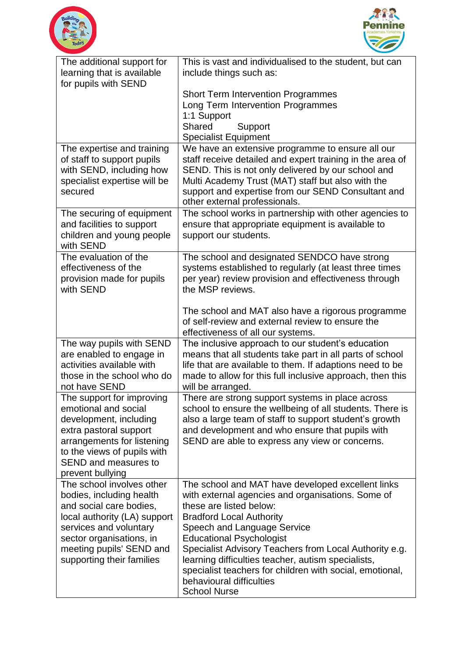



| The additional support for                               | This is vast and individualised to the student, but can                                                 |
|----------------------------------------------------------|---------------------------------------------------------------------------------------------------------|
| learning that is available                               | include things such as:                                                                                 |
| for pupils with SEND                                     |                                                                                                         |
|                                                          | <b>Short Term Intervention Programmes</b>                                                               |
|                                                          | Long Term Intervention Programmes                                                                       |
|                                                          | 1:1 Support                                                                                             |
|                                                          | <b>Shared</b><br>Support                                                                                |
|                                                          | <b>Specialist Equipment</b>                                                                             |
| The expertise and training                               | We have an extensive programme to ensure all our                                                        |
| of staff to support pupils                               | staff receive detailed and expert training in the area of                                               |
| with SEND, including how<br>specialist expertise will be | SEND. This is not only delivered by our school and<br>Multi Academy Trust (MAT) staff but also with the |
| secured                                                  | support and expertise from our SEND Consultant and                                                      |
|                                                          | other external professionals.                                                                           |
| The securing of equipment                                | The school works in partnership with other agencies to                                                  |
| and facilities to support                                | ensure that appropriate equipment is available to                                                       |
| children and young people                                | support our students.                                                                                   |
| with SEND                                                |                                                                                                         |
| The evaluation of the                                    | The school and designated SENDCO have strong                                                            |
| effectiveness of the                                     | systems established to regularly (at least three times                                                  |
| provision made for pupils                                | per year) review provision and effectiveness through                                                    |
| with SEND                                                | the MSP reviews.                                                                                        |
|                                                          |                                                                                                         |
|                                                          | The school and MAT also have a rigorous programme<br>of self-review and external review to ensure the   |
|                                                          | effectiveness of all our systems.                                                                       |
| The way pupils with SEND                                 | The inclusive approach to our student's education                                                       |
| are enabled to engage in                                 | means that all students take part in all parts of school                                                |
| activities available with                                | life that are available to them. If adaptions need to be                                                |
| those in the school who do                               | made to allow for this full inclusive approach, then this                                               |
| not have SEND                                            | will be arranged.                                                                                       |
| The support for improving                                | There are strong support systems in place across                                                        |
| emotional and social                                     | school to ensure the wellbeing of all students. There is                                                |
| development, including                                   | also a large team of staff to support student's growth                                                  |
| extra pastoral support                                   | and development and who ensure that pupils with                                                         |
| arrangements for listening                               | SEND are able to express any view or concerns.                                                          |
| to the views of pupils with                              |                                                                                                         |
| SEND and measures to                                     |                                                                                                         |
| prevent bullying<br>The school involves other            | The school and MAT have developed excellent links                                                       |
| bodies, including health                                 | with external agencies and organisations. Some of                                                       |
| and social care bodies,                                  | these are listed below:                                                                                 |
| local authority (LA) support                             | <b>Bradford Local Authority</b>                                                                         |
| services and voluntary                                   | Speech and Language Service                                                                             |
| sector organisations, in                                 | <b>Educational Psychologist</b>                                                                         |
| meeting pupils' SEND and                                 | Specialist Advisory Teachers from Local Authority e.g.                                                  |
| supporting their families                                | learning difficulties teacher, autism specialists,                                                      |
|                                                          | specialist teachers for children with social, emotional,                                                |
|                                                          | behavioural difficulties                                                                                |
|                                                          | <b>School Nurse</b>                                                                                     |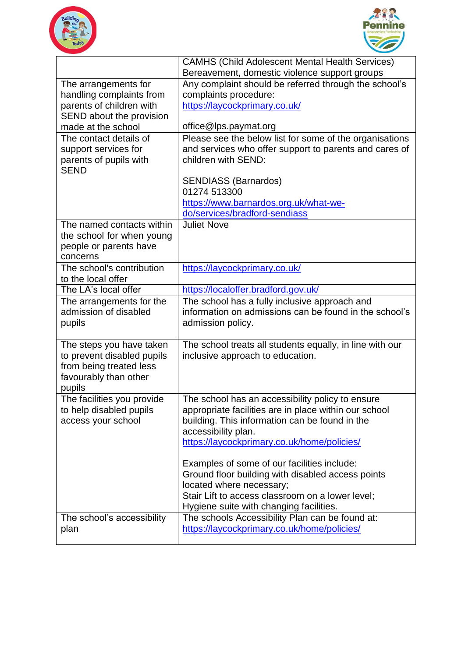



|                                                 | <b>CAMHS (Child Adolescent Mental Health Services)</b>   |
|-------------------------------------------------|----------------------------------------------------------|
|                                                 | Bereavement, domestic violence support groups            |
| The arrangements for                            | Any complaint should be referred through the school's    |
| handling complaints from                        | complaints procedure:                                    |
| parents of children with                        | https://laycockprimary.co.uk/                            |
| SEND about the provision                        |                                                          |
| made at the school                              | office@lps.paymat.org                                    |
| The contact details of                          | Please see the below list for some of the organisations  |
| support services for                            | and services who offer support to parents and cares of   |
| parents of pupils with                          | children with SEND:                                      |
| <b>SEND</b>                                     |                                                          |
|                                                 | <b>SENDIASS (Barnardos)</b>                              |
|                                                 | 01274 513300                                             |
|                                                 | https://www.barnardos.org.uk/what-we-                    |
|                                                 | do/services/bradford-sendiass                            |
| The named contacts within                       | <b>Juliet Nove</b>                                       |
| the school for when young                       |                                                          |
| people or parents have<br>concerns              |                                                          |
|                                                 |                                                          |
| The school's contribution<br>to the local offer | https://laycockprimary.co.uk/                            |
| The LA's local offer                            | https://localoffer.bradford.gov.uk/                      |
| The arrangements for the                        | The school has a fully inclusive approach and            |
| admission of disabled                           | information on admissions can be found in the school's   |
| pupils                                          | admission policy.                                        |
|                                                 |                                                          |
| The steps you have taken                        | The school treats all students equally, in line with our |
| to prevent disabled pupils                      | inclusive approach to education.                         |
| from being treated less                         |                                                          |
| favourably than other                           |                                                          |
| pupils                                          |                                                          |
| The facilities you provide                      | The school has an accessibility policy to ensure         |
| to help disabled pupils                         | appropriate facilities are in place within our school    |
| access your school                              | building. This information can be found in the           |
|                                                 | accessibility plan.                                      |
|                                                 | https://laycockprimary.co.uk/home/policies/              |
|                                                 |                                                          |
|                                                 | Examples of some of our facilities include:              |
|                                                 | Ground floor building with disabled access points        |
|                                                 | located where necessary;                                 |
|                                                 | Stair Lift to access classroom on a lower level;         |
|                                                 | Hygiene suite with changing facilities.                  |
| The school's accessibility                      | The schools Accessibility Plan can be found at:          |
| plan                                            | https://laycockprimary.co.uk/home/policies/              |
|                                                 |                                                          |